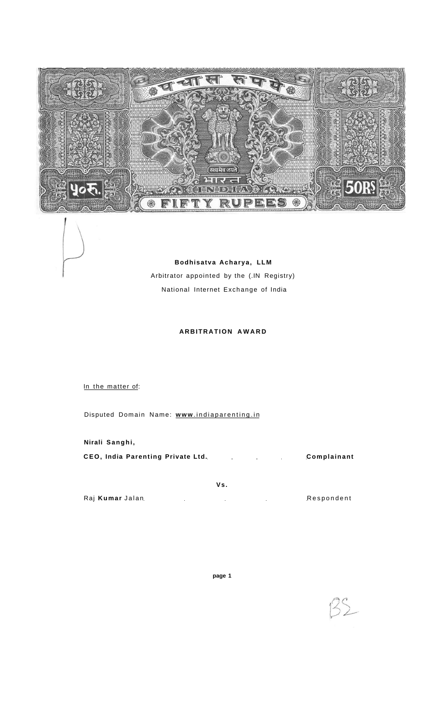

**Bodhisatva Acharya, LL M**  Arbitrator appointed by the (.IN Registry) National Internet Exchange of India

# **ARBITRATION AWARD**

In the matter of:

Disputed Domain Name: **www**[.indiaparenting.i](http://www.indiaparenting.in)n

**Nirali Sanghi ,** 

**CEO, India Parenting Private Ltd. Complainant** 

**V s .** 

Raj Kumar Jalan **Respondent** 

 $25$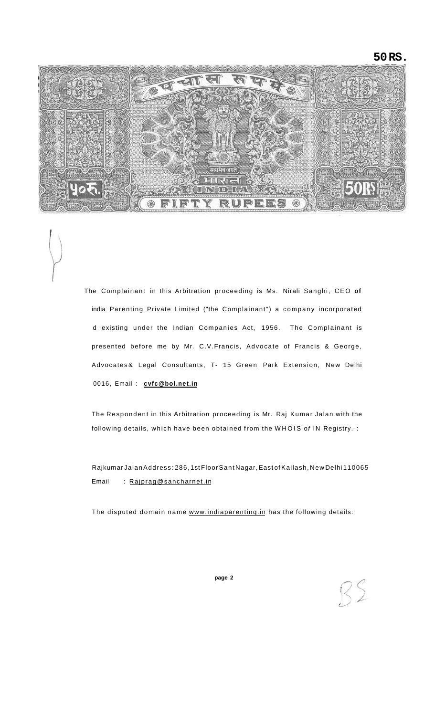**50 RS.** 



The Complainant in this Arbitration proceeding is Ms. Nirali Sanghi, CEO **of**  india Parenting Private Limited ("the Complainant") a company incorporated d existing under the Indian Companies Act, 1956. The Complainant is presented before me by Mr. C.V.Francis, Advocate of Francis & George, Advocates & Legal Consultants, T- 15 Green Park Extension, New Delhi 0016, Email : **[cvfc@bol.net.in](mailto:cvfc@bol.net.in)** 

The Respondent in this Arbitration proceeding is Mr. Raj Kumar Jalan with the following details, which have been obtained from the WHOIS of IN Registry. :

Rajkumar Jalan Address : 286, 1st Floor Sant Nagar, East of Kailash, New Delhi 110065 Email : [Rajprag@sancharnet.in](mailto:Rajprag@sancharnet.in)

The disputed domain name [www.indiaparentinq.in h](http://www.indiaparentinq.in)as the following details: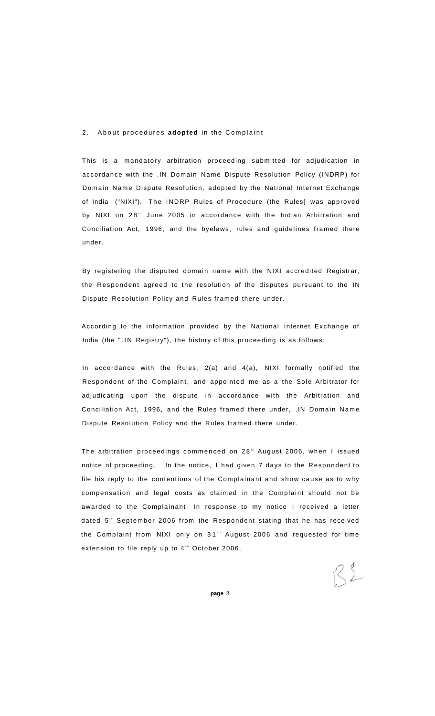# 2. About procedures adopted in the Complaint

This is a mandatory arbitration proceeding submitted for adjudication in accordance with the .IN Domain Name Dispute Resolution Policy (INDRP) for Domain Name Dispute Resolution, adopted by the National Internet Exchange of India ("NIXI"). The INDRP Rules of Procedure (the Rules} was approved by NIXI on 28<sup>t</sup> June 2005 in accordance with the Indian Arbitration and Conciliation Act, 1996, and the byelaws, rules and guidelines framed there under.

By registering the disputed domain name with the NIXI accredited Registrar, the Respondent agreed to the resolution of the disputes pursuant to the IN Dispute Resolution Policy and Rules framed there under.

According to the information provided by the National Internet Exchange of India (the ".IN Registry"), the history of this proceeding is as follows:

In accordance with the Rules, 2(a) and 4(a), NIXI formally notified the Respondent of the Complaint, and appointed me as a the Sole Arbitrator for adjudicating upon the dispute in accordance with the Arbitration and Conciliation Act, 1996, and the Rules framed there under, .IN Domain Nam e Dispute Resolution Policy and the Rules framed there under.

The arbitration proceedings commenced on 28" August 2006, when I issued notice of proceeding. In the notice, I had given 7 days to the Respondent to file his reply to the contentions of the Complainant and show cause as to why compensation and legal costs as claimed in the Complaint should not be awarded to the Complainant. In response to my notice I received a letter dated 5<sup>t</sup> September 2006 from the Respondent stating that he has received the Complaint from NIXI only on 31" August 2006 and requested for time extension to file reply up to 4th October 2006.

 $32$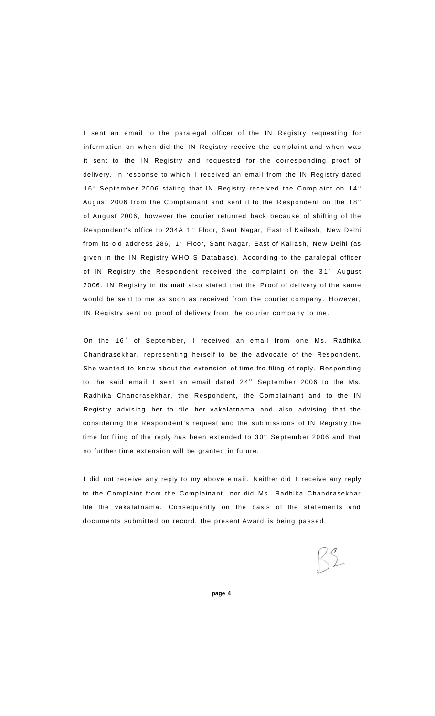I sent an email to the paralegal officer of the IN Registry requesting for information on when did the IN Registry receive the complaint and when was it sent to the IN Registry and requested for the corresponding proof of delivery. In response to which I received an email from the IN Registry dated 16<sup>th</sup> September 2006 stating that IN Registry received the Complaint on 14<sup>th</sup> August 2006 from the Complainant and sent it to the Respondent on the 18<sup>th</sup> of August 2006, however the courier returned back because of shifting of the Respondent's office to 234A 1'' Floor, Sant Nagar, East of Kailash, New Delhi from its old address 286, 1" Floor, Sant Nagar, East of Kailash, New Delhi (as given in the IN Registry WHOIS Database). According to the paralegal officer of IN Registry the Respondent received the complaint on the 31°' August 2006. IN Registry in its mail also stated that the Proof of delivery of the sam e would be sent to me as soon as received from the courier company. However, IN Registry sent no proof of delivery from the courier company to me.

On the 16<sup>th</sup> of September, I received an email from one Ms. Radhika Chandrasekhar, representing herself to be the advocate of the Respondent. She wanted to know about the extension of time fro filing of reply. Responding to the said email I sent an email dated 24 $^{\circ}$  September 2006 to the Ms. Radhika Chandrasekhar, the Respondent, the Complainant and to the IN Registry advising her to file her vakalatnama and also advising that the considering the Respondent's request and the submissions of IN Registry the time for filing of the reply has been extended to  $30^{\tiny \rm th}$  September 2006 and that no further time extension will be granted in future.

I did not receive any reply to my above email. Neither did I receive any reply to the Complaint from the Complainant, nor did Ms. Radhika Chandrasekhar file the vakalatnama. Consequently on the basis of the statements and documents submitted on record, the present Award is being passed.

 $32$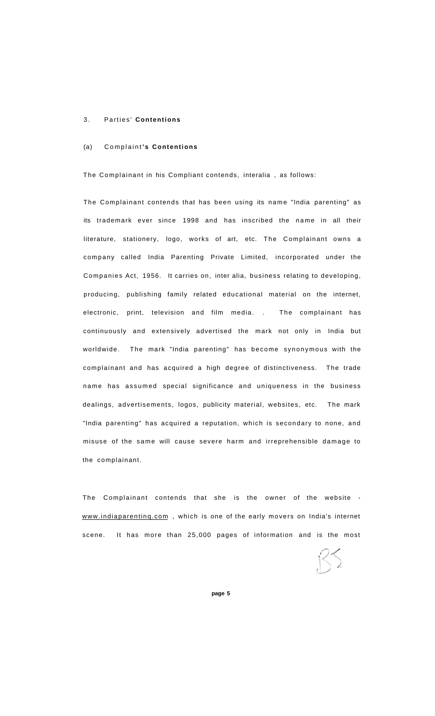#### 3. Parties ' **Contentions**

## (a) Complaint **' s Contentions**

The Complainant in his Compliant contends, interalia , as follows:

The Complainant contends that has been using its name "India parenting" as its trademark ever since 1998 and has inscribed the name in all their literature, stationery, logo, works of art, etc. The Complainant owns a company called India Parenting Private Limited, incorporated under the Companies Act, 1956. It carries on, inter alia, business relating to developing, producing, publishing family related educational material on the internet, electronic, print, television and film media. . The complainant has continuously and extensively advertised the mark not only in India but worldwide. The mark "India parenting" has become synonymous with the complainant and has acquired a high degree of distinctiveness. The trade name has assumed special significance and uniqueness in the business dealings, advertisements, logos, publicity material, websites, etc. The mark "India parenting" has acquired a reputation, which is secondary to none, and misuse of the same will cause severe harm and irreprehensible damage to the complainant.

The Complainant contends that she is the owner of the website www.indiaparenting.com, which is one of the early movers on India's internet scene. It has more than 25,000 pages of information and is the most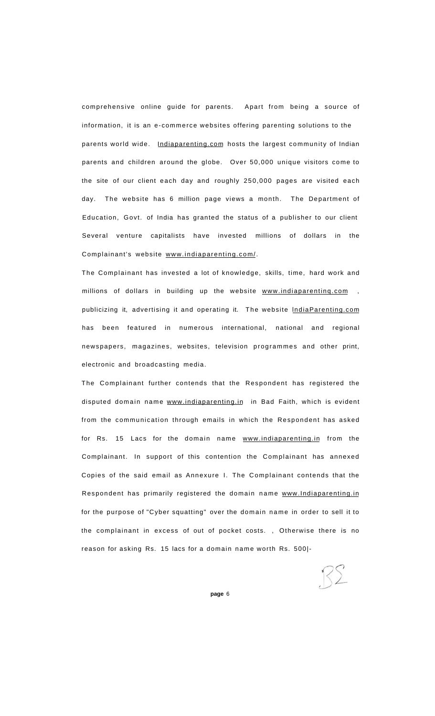comprehensive online guide for parents. Apart from being a source of information, it is an e-commerce websites offering parenting solutions to the parents world wide. [Indiaparenting.com](http://Indiaparenting.com) hosts the largest community of Indian parents and children around the globe. Over 50,000 unique visitors come to the site of our client each day and roughly 250,000 pages are visited each day. The website has 6 million page views a month. The Department of Education, Govt. of India has granted the status of a publisher to our client Several venture capitalists have invested millions of dollars in the Complainant's website [www.indiaparenting.com/.](http://www.indiaparenting.com/)

The Complainant has invested a lot of knowledge, skills, time, hard work and millions of dollars in building up the website [www.indiaparentinq.com ,](http://www.indiaparentinq.com/) publicizing it, advertising it and operating it. The website IndiaParenting.com has been featured in numerous international, national and regional newspapers, magazines, websites, television programmes and other print, electronic and broadcasting media.

The Complainant further contends that the Respondent has registered the disputed domain name [www.indiaparenting.in](http://www.indiaparenting.in) in Bad Faith, which is evident from the communication through emails in which the Respondent has asked for Rs. 15 Lacs for the domain name [www.indiaparenting.in f](http://www.indiaparentinc.in)rom the Complainant. In support of this contention the Complainant has annexed Copies of the said email as Annexure I. The Complainant contends that the Respondent has primarily registered the domain name [www.Indiaparenting.in](http://www.lndiaparenting.in) for the purpose of "Cyber squatting" over the domain name in order to sell it to the complainant in excess of out of pocket costs. , Otherwise there is no reason for asking Rs. 15 lacs for a domain name worth Rs. 500|-

 $R\Sigma$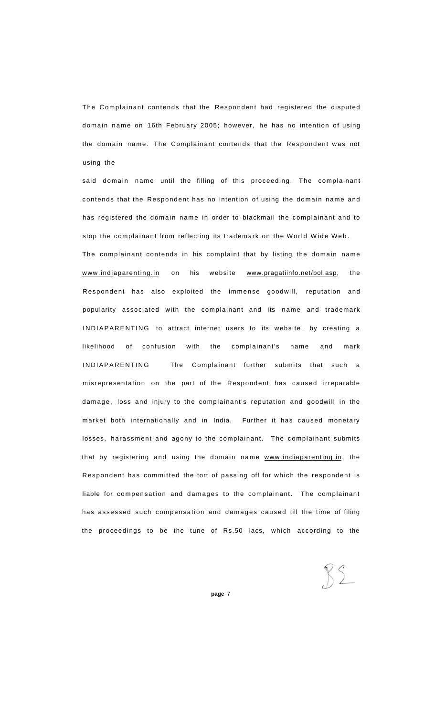The Complainant contends that the Respondent had registered the disputed domain name on 16th February 2005; however, he has no intention of using the domain name. The Complainant contends that the Respondent was not using the

said domain name until the filling of this proceeding. The complainant contends that the Respondent has no intention of using the domain name and has registered the domain name in order to blackmail the complainant and to stop the complainant from reflecting its trademark on the World Wide Web. The complainant contends in his complaint that by listing the domain name www.indiaparenting.in on his website [www.pragatiinfo.net/bol.asp,](http://www.pragatiinfo.net/boi.asp) the Respondent has also exploited the immense goodwill, reputation and popularity associated with the complainant and its name and trademark INDIAPARENTING to attract internet users to its website, by creating a likelihood of confusion with the complainant's name and mark INDIAPARENTING The Complainant further submits that such a misrepresentation on the part of the Respondent has caused irreparable damage, loss and injury to the complainant's reputation and goodwill in the market both internationally and in India. Further it has caused monetary losses, harassment and agony to the complainant. The complainant submits that by registering and using the domain name [www.indiaparenting.in,](http://www.indiaparenting.in) the Respondent has committed the tort of passing off for which the respondent is liable for compensation and damages to the complainant. The complainant has assessed such compensation and damages caused till the time of filing the proceedings to be the tune of Rs.50 lacs, which according to the

 $RS$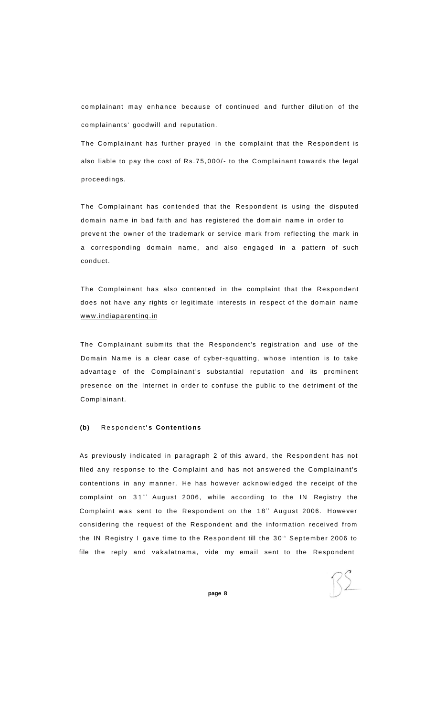complainant may enhance because of continued and further dilution of the complainants' goodwill and reputation.

The Complainant has further prayed in the complaint that the Respondent is also liable to pay the cost of Rs.75,000/- to the Complainant towards the legal proceedings.

The Complainant has contended that the Respondent is using the disputed domain name in bad faith and has registered the domain name in order to prevent the owner of the trademark or service mark from reflecting the mark in a corresponding domain name, and also engaged in a pattern of such conduct.

The Complainant has also contented in the complaint that the Respondent does not have any rights or legitimate interests in respect of the domain name [www.indiaparentinq.in](http://www.indiaparentinq.in) 

The Complainant submits that the Respondent's registration and use of the Domain Name is a clear case of cyber-squatting, whose intention is to take advantage of the Complainant's substantial reputation and its prominent presence on the Internet in order to confuse the public to the detriment of the Complainant.

#### **(b)** Respondent **' s Contentions**

As previously indicated in paragraph 2 of this award, the Respondent has not filed any response to the Complaint and has not answered the Complainant's contentions in any manner. He has however acknowledged the receipt of the complaint on 31" August 2006, while according to the IN Registry the Complaint was sent to the Respondent on the 18" August 2006. However considering the request of the Respondent and the information received from the IN Registry I gave time to the Respondent till the 30<sup>th</sup> September 2006 to file the reply and vakalatnama, vide my email sent to the Respondent

RS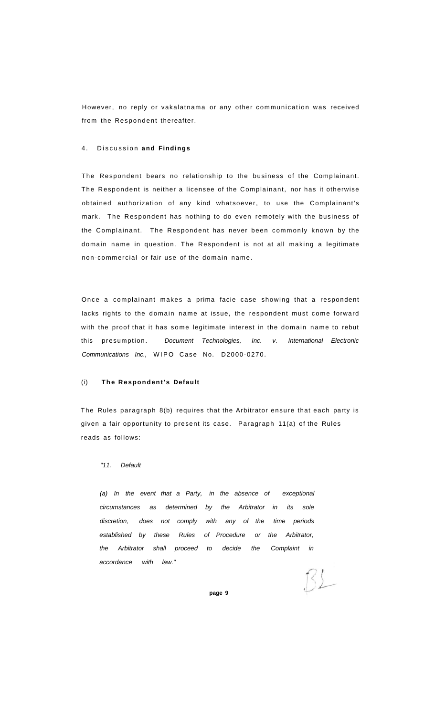However, no reply or vakalatnama or any other communication was received from the Respondent thereafter.

#### 4. Discussion and Findings

The Respondent bears no relationship to the business of the Complainant. The Respondent is neither a licensee of the Complainant, nor has it otherwise obtained authorization of any kind whatsoever, to use the Complainant's mark. The Respondent has nothing to do even remotely with the business of the Complainant. The Respondent has never been commonly known by the domain name in question. The Respondent is not at all making a legitimate non-commercial or fair use of the domain name.

Once a complainant makes a prima facie case showing that a respondent lacks rights to the domain name at issue, the respondent must come forward with the proof that it has some legitimate interest in the domain name to rebut this presumption. Document Technologies, Inc. v. International Electronic Communications Inc., WIPO Case No. D2000-0270.

### (i) **The Respondent's Default**

The Rules paragraph 8(b) requires that the Arbitrator ensure that each party is given a fair opportunity to present its case. Paragraph 11(a) of the Rules reads as follows:

### "11. Default

(a) In the event that a Party, in the absence of exceptional circumstances as determined by the Arbitrator in its sole discretion, does not comply with any of the time periods established by these Rules of Procedure or the Arbitrator, the Arbitrator shall proceed to decide the Complaint in accordance with law."

 $132$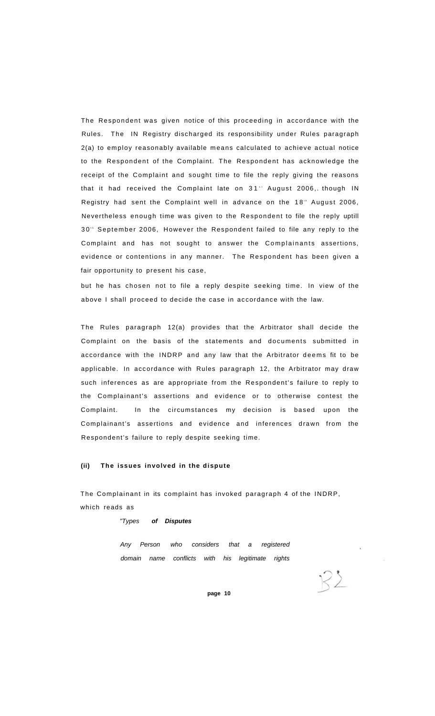The Respondent was given notice of this proceeding in accordance with the Rules. The IN Registry discharged its responsibility under Rules paragraph 2(a) to employ reasonably available means calculated to achieve actual notice to the Respondent of the Complaint. The Respondent has acknowledge the receipt of the Complaint and sought time to file the reply giving the reasons that it had received the Complaint late on 31'' August 2006, though IN Registry had sent the Complaint well in advance on the 18<sup>th</sup> August 2006, Nevertheless enough time was given to the Respondent to file the reply uptill 30<sup>th</sup> September 2006, However the Respondent failed to file any reply to the Complaint and has not sought to answer the Complainants assertions, evidence or contentions in any manner. The Respondent has been given a fair opportunity to present his case,

but he has chosen not to file a reply despite seeking time. In view of the above I shall proceed to decide the case in accordance with the law.

The Rules paragraph 12(a) provides that the Arbitrator shall decide the Complaint on the basis of the statements and documents submitted in accordance with the INDRP and any law that the Arbitrator deems fit to be applicable. In accordance with Rules paragraph 12, the Arbitrator may draw such inferences as are appropriate from the Respondent's failure to reply to the Complainant's assertions and evidence or to otherwise contest the Complaint. In the circumstances my decision is based upon the Complainant's assertions and evidence and inferences drawn from the Respondent's failure to reply despite seeking time.

### **(ii) The issues involved in the dispute**

The Complainant in its complaint has invoked paragraph 4 of the INDRP, which reads as

"Types **of Disputes** 

Any Person who considers that a registered domain name conflicts with his legitimate rights

 $K2$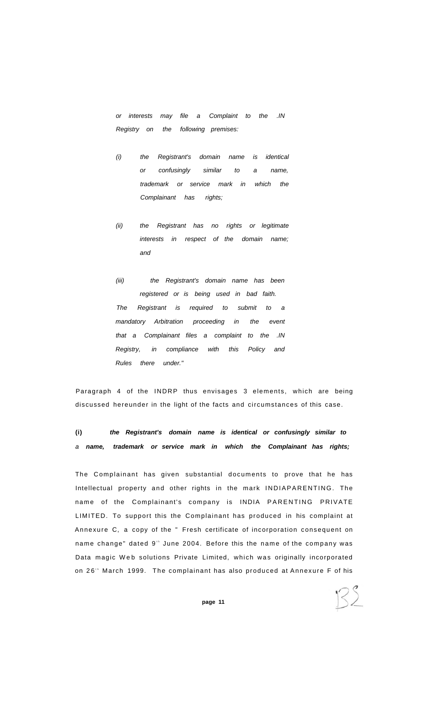or interests may file a Complaint to the .IN Registry on the following premises:

- (i) the Registrant's domain name is identical or confusingly similar to a name, trademark or service mark in which the Complainant has rights;
- (ii) the Registrant has no rights or legitimate interests in respect of the domain name; and
- (iii) the Registrant's domain name has been registered or is being used in bad faith. The Registrant is required to submit to a mandatory Arbitration proceeding in the event that a Complainant files a complaint to the .IN Registry, in compliance with this Policy and Rules there under."

Paragraph 4 of the INDRP thus envisages 3 elements, which are being discussed hereunder in the light of the facts and circumstances of this case.

**(i) the Registrant's domain name is identical or confusingly similar to**  a **name, trademark or service mark in which the Complainant has rights;** 

The Complainant has given substantial documents to prove that he has Intellectual property and other rights in the mark INDIAPARENTING. The name of the Complainant's company is INDIA PARENTING PRIVATE LIMITED. To support this the Complainant has produced in his complaint at Annexure C, a copy of the " Fresh certificate of incorporation consequent on name change" dated 9 blune 2004. Before this the name of the company was Data magic Web solutions Private Limited, which was originally incorporated on 26<sup>th</sup> March 1999. The complainant has also produced at Annexure F of his

RS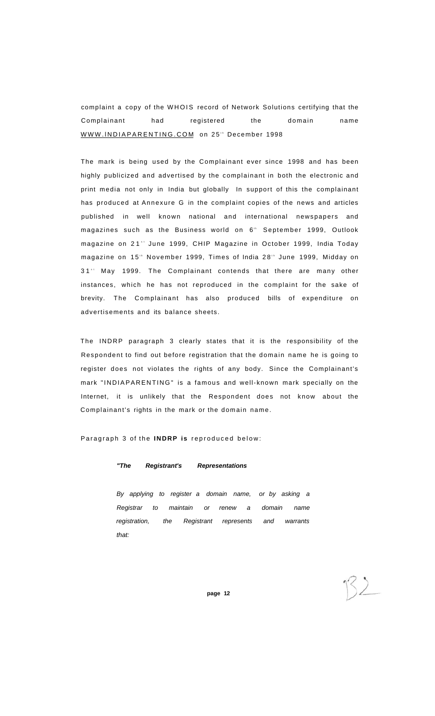complaint a copy of the WHOIS record of Network Solutions certifying that the Complainant had registered the domain name WWW.INDIAPARENTING.COM on 25" December 1998

The mark is being used by the Complainant ever since 1998 and has been highly publicized and advertised by the complainant in both the electronic and print media not only in India but globally In support of this the complainant has produced at Annexure G in the complaint copies of the news and articles published in well known national and international newspapers and magazines such as the Business world on 6<sup>th</sup> September 1999, Outlook magazine on 21°' June 1999, CHIP Magazine in October 1999, India Today magazine on 15" November 1999, Times of India 28" June 1999, Midday on 31" May 1999. The Complainant contends that there are many other instances, which he has not reproduced in the complaint for the sake of brevity. The Complainant has also produced bills of expenditure on advertisements and its balance sheets.

The INDRP paragraph 3 clearly states that it is the responsibility of the Respondent to find out before registration that the domain name he is going to register does not violates the rights of any body. Since the Complainant's mark "INDIAPARENTING" is a famous and well-known mark specially on the Internet, it is unlikely that the Respondent does not know about the Complainant's rights in the mark or the domain name.

Paragraph 3 of the **INDRP** is reproduced below:

# **"The Registrant's Representations**

By applying to register a domain name, or by asking a Registrar to maintain or renew a domain name registration, the Registrant represents and warrants that: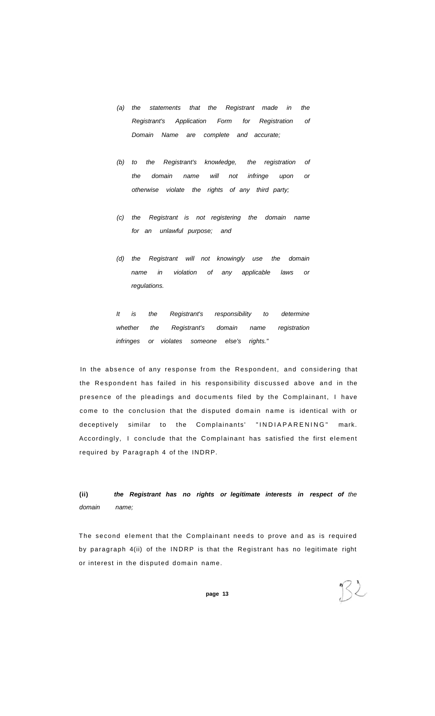- (a) the statements that the Registrant made in the Registrant's Application Form for Registration of Domain Name are complete and accurate;
- (b) to the Registrant's knowledge, the registration of the domain name will not infringe upon or otherwise violate the rights of any third party;
- (c) the Registrant is not registering the domain name for an unlawful purpose; and
- (d) the Registrant will not knowingly use the domain name in violation of any applicable laws or regulations.

It is the Registrant's responsibility to determine whether the Registrant's domain name registration infringes or violates someone else's rights."

In the absence of any response from the Respondent, and considering that the Respondent has failed in his responsibility discussed above and in the presence of the pleadings and documents filed by the Complainant, I have come to the conclusion that the disputed domain name is identical with or deceptively similar to the Complainants' "INDIAPARENING" mark. Accordingly, I conclude that the Complainant has satisfied the first element required by Paragraph 4 of the INDRP.

**(ii) the Registrant has no rights or legitimate interests in respect of** the domain name;

The second element that the Complainant needs to prove and as is required by paragraph 4(ii) of the INDRP is that the Registrant has no legitimate right or interest in the disputed domain name.

 $B2$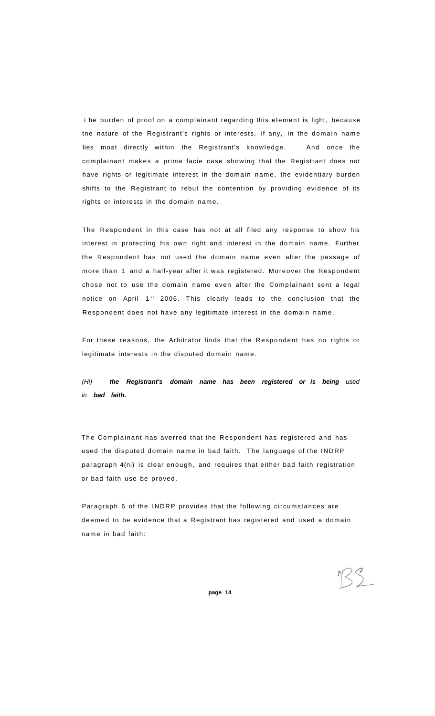i he burden of proof on a complainant regarding this element is light, because tne nature of the Registrant's rights or interests, if any, in the domain name lies most directly within the Registrant's knowledge. And once the complainant makes a prima facie case showing that the Registrant does not have rights or legitimate interest in the domain name, the evidentiary burden shifts to the Registrant to rebut the contention by providing evidence of its rights or interests in the domain name.

The Respondent in this case has not at all filed any response to show his interest in protecting his own right and interest in the domain name. Further the Respondent has not used the domain name even after the passage of more than 1 and a half-year after it was registered. Moreover the Respondent chose not to use the domain name even after the Complainant sent a legal notice on April 1<sup>st</sup> 2006. This clearly leads to the conclusion that the Respondent does not have any legitimate interest in the domain name.

For these reasons, the Arbitrator finds that the Respondent has no rights or legitimate interests in the disputed domain name.

(Hi) **the Registrant's domain name has been registered or is being** used in **bad faith.** 

The Complainant has averred that the Respondent has registered and has used the disputed domain name in bad faith. The language of the INDRP paragraph 4(ni) is clear enough, and requires that either bad faith registration or bad faith use be proved.

Paragraph 6 of the INDRP provides that the following circumstances are deemed to be evidence that a Registrant has registered and used a domain name in bad faith:

RS.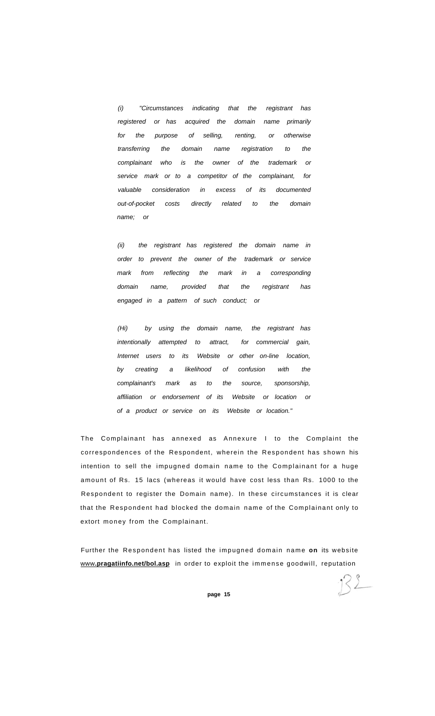(i) "Circumstances indicating that the registrant has registered or has acquired the domain name primarily for the purpose of selling, renting, or otherwise transferring the domain name registration to the complainant who is the owner of the trademark or service mark or to a competitor of the complainant, for valuable consideration in excess of its documented out-of-pocket costs directly related to the domain name; or

(ii) the registrant has registered the domain name in order to prevent the owner of the trademark or service mark from reflecting the mark in a corresponding domain name, provided that the registrant has engaged in a pattern of such conduct; or

(Hi) by using the domain name, the registrant has intentionally attempted to attract, for commercial gain, Internet users to its Website or other on-line location, by creating a likelihood of confusion with the complainant's mark as to the source, sponsorship, affiliation or endorsement of its Website or location or of a product or service on its Website or location."

The Complainant has annexed as Annexure I to the Complaint the correspondences of the Respondent, wherein the Respondent has shown his intention to sell the impugned domain name to the Complainant for a huge amount of Rs. 15 lacs (whereas it would have cost less than Rs. 1000 to the Respondent to register the Domain name). In these circumstances it is clear that the Respondent had blocked the domain name of the Complainant only to extort money from the Complainant.

Further the Respondent has listed the impugned domain name on its website www[.pragatiinfo.net/bol.asp](http://vvww.pragatiinfo.net/bol.asp) in order to exploit the immense goodwill, reputation

 $32$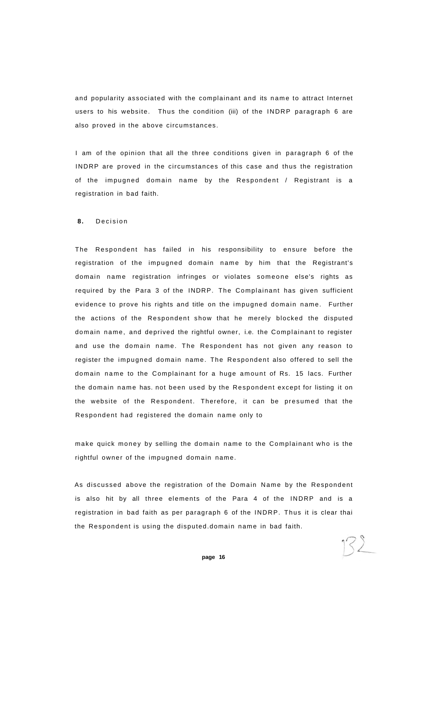and popularity associated with the complainant and its name to attract Internet users to his website. Thus the condition (iii) of the INDRP paragraph 6 are also proved in the above circumstances.

I am of the opinion that all the three conditions given in paragraph 6 of the INDRP are proved in the circumstances of this case and thus the registration of the impugned domain name by the Respondent / Registrant is a registration in bad faith.

#### **8.** Decisio n

The Respondent has failed in his responsibility to ensure before the registration of the impugned domain name by him that the Registrant's domain name registration infringes or violates someone else's rights as required by the Para 3 of the INDRP. The Complainant has given sufficient evidence to prove his rights and title on the impugned domain name. Further the actions of the Respondent show that he merely blocked the disputed domain name, and deprived the rightful owner, i.e. the Complainant to register and use the domain name. The Respondent has not given any reason to register the impugned domain name. The Respondent also offered to sell the domain name to the Complainant for a huge amount of Rs. 15 lacs. Further the domain name has. not been used by the Respondent except for listing it on the website of the Respondent. Therefore, it can be presumed that the Respondent had registered the domain name only to

make quick money by selling the domain name to the Complainant who is the rightful owner of the impugned domain name.

As discussed above the registration of the Domain Name by the Respondent is also hit by all three elements of the Para 4 of the INDRP and is a registration in bad faith as per paragraph 6 of the INDRP. Thus it is clear thai the Respondent is using the disputed.domain name in bad faith.

 $172$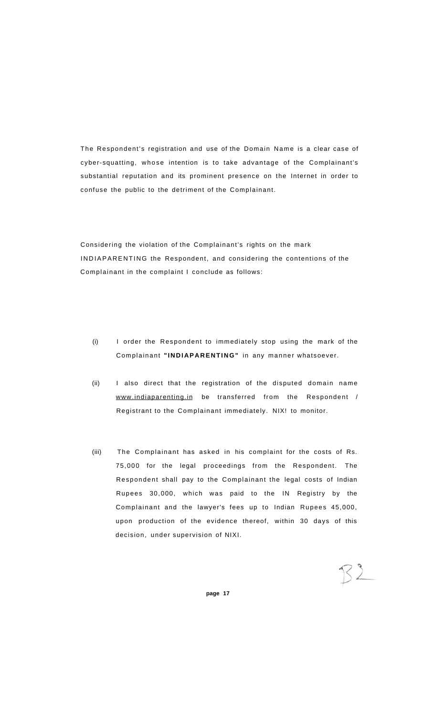The Respondent's registration and use of the Domain Name is a clear case of cyber-squatting, whose intention is to take advantage of the Complainant's substantial reputation and its prominent presence on the Internet in order to confuse the public to the detriment of the Complainant.

Considering the violation of the Complainant's rights on the mark INDIAPARENTING the Respondent, and considering the contentions of the Complainant in the complaint I conclude as follows:

- (i) I order the Respondent to immediately stop using the mark of the Complainant **"INDIAPARENTING"** in any manner whatsoever.
- (ii) I also direct that the registration of the disputed domain name [www.indiaparenting.in b](http://www.indiaparenting.in)e transferred from the Respondent / Registrant to the Complainant immediately. NIX! to monitor.
- (iii) The Complainant has asked in his complaint for the costs of Rs. 75,000 for the legal proceedings from the Respondent. The Respondent shall pay to the Complainant the legal costs of Indian Rupees 30,000, which was paid to the IN Registry by the Complainant and the lawyer's fees up to Indian Rupees 45,000, upon production of the evidence thereof, within 30 days of this decision, under supervision of NIXI.

 $72$